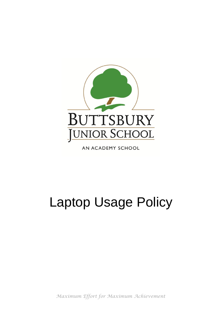

AN ACADEMY SCHOOL

## Laptop Usage Policy

*Maximum Effort for Maximum Achievement*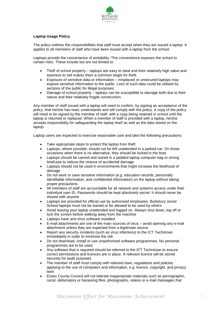

## **Laptop Usage Policy**

The policy outlines the responsibilities that staff must accept when they are issued a laptop. It applies to all members of staff who have been issued with a laptop from the school.

Laptops provide the convenience of portability. This convenience exposes the school to certain risks. These include but are not limited to:

- Theft of school property laptops are easy to steal and their relatively high value and easiness to sell makes them a common target for theft;
- Exposure of sensitive data or information misplaced or unsecured laptops may expose sensitive information to the public. Loss of such data could be utilised by sections of the public for illegal purposes;
- Damage of school property laptops can be susceptible to damage both due to their nature and their relatively fragile construction.

Any member of staff issued with a laptop will need to confirm, by signing an acceptance of the policy, that he/she has read, understands and will comply with the policy. A copy of the policy will need to be signed by the member of staff, with a copy being retained in school until the laptop is returned or replaced. When a member of staff is provided with a laptop, he/she accepts responsibility for safeguarding the laptop itself as well as the data stored on the laptop.

Laptop users are expected to exercise reasonable care and take the following precautions:

- Take appropriate steps to protect the laptop from theft
- Laptops, where possible, should not be left unattended in a parked car. On those occasions when there is no alternative, they should be locked in the boot
- Laptops should be carried and stored in a padded laptop computer bag or strong briefcase to reduce the chance of accidental damage
- Laptops should not be used in environments that might increase the likelihood of damage
- Do not work or save sensitive information (e.g. education records, personally identifiable information, and confidential information) on the laptop without taking proper precautions
- All members of staff are accountable for all network and systems access under their individual user ID. Passwords should be kept absolutely secret. It should never be shared with anyone
- Laptops are provided for official use by authorised employees. Buttsbury Junior School laptops must not be loaned or be allowed to be used by others
- Avoid leaving your laptop unattended and logged on. Always shut down, log off or lock the screen before walking away from the machine
- Laptops have anti-virus software installed
- E-mail attachments are one of the main sources of virus avoid opening any e-mail attachment unless they are expected from a legitimate source
- Report any security incidents (such as virus infections) to the ICT Technician immediately in order to minimise the risk
- Do not download, install or use unauthorised software programmes. No personal programmes are to be used.
- Any software that is required should be referred to the ICT Technician to ensure correct permissions and licences are in place. A relevant licence will be stored securely for audit purposes
- The member of staff must comply with relevant laws, regulations and policies applying to the use of computers and information, e.g. licence, copyright, and privacy laws
- Essex County Council will not tolerate inappropriate materials such as pornographic, racist, defamatory or harassing files, photographs, videos or e-mail messages that